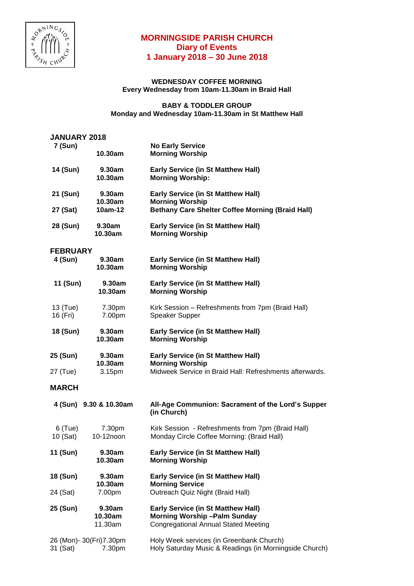

## **MORNINGSIDE PARISH CHURCH Diary of Events 1 January 2018 – 30 June 2018**

## **WEDNESDAY COFFEE MORNING Every Wednesday from 10am-11.30am in Braid Hall**

## **BABY & TODDLER GROUP Monday and Wednesday 10am-11.30am in St Matthew Hall**

| <b>JANUARY 2018</b>   |                                     |                                                                                                                                |
|-----------------------|-------------------------------------|--------------------------------------------------------------------------------------------------------------------------------|
| 7 (Sun)               | 10.30am                             | <b>No Early Service</b><br><b>Morning Worship</b>                                                                              |
| 14 (Sun)              | 9.30am<br>10.30am                   | <b>Early Service (in St Matthew Hall)</b><br><b>Morning Worship:</b>                                                           |
| 21 (Sun)              | 9.30am<br>10.30am                   | <b>Early Service (in St Matthew Hall)</b><br><b>Morning Worship</b>                                                            |
| 27 (Sat)              | 10am-12                             | <b>Bethany Care Shelter Coffee Morning (Braid Hall)</b>                                                                        |
| 28 (Sun)              | 9.30am<br>10.30am                   | <b>Early Service (in St Matthew Hall)</b><br><b>Morning Worship</b>                                                            |
| <b>FEBRUARY</b>       |                                     |                                                                                                                                |
| 4 (Sun)               | 9.30am<br>10.30am                   | <b>Early Service (in St Matthew Hall)</b><br><b>Morning Worship</b>                                                            |
| 11 (Sun)              | 9.30am<br>10.30am                   | <b>Early Service (in St Matthew Hall)</b><br><b>Morning Worship</b>                                                            |
| 13 (Tue)<br>16 (Fri)  | 7.30pm<br>7.00pm                    | Kirk Session - Refreshments from 7pm (Braid Hall)<br><b>Speaker Supper</b>                                                     |
| 18 (Sun)              | 9.30am<br>10.30am                   | <b>Early Service (in St Matthew Hall)</b><br><b>Morning Worship</b>                                                            |
| 25 (Sun)<br>27 (Tue)  | 9.30am<br>10.30am<br>3.15pm         | <b>Early Service (in St Matthew Hall)</b><br><b>Morning Worship</b><br>Midweek Service in Braid Hall: Refreshments afterwards. |
|                       |                                     |                                                                                                                                |
| <b>MARCH</b>          |                                     |                                                                                                                                |
|                       | 4 (Sun) 9.30 & 10.30am              | All-Age Communion: Sacrament of the Lord's Supper<br>(in Church)                                                               |
| $6$ (Tue)<br>10 (Sat) | 7.30pm<br>10-12noon                 | Kirk Session - Refreshments from 7pm (Braid Hall)<br>Monday Circle Coffee Morning: (Braid Hall)                                |
| 11 (Sun)              | 9.30am<br>10.30am                   | <b>Early Service (in St Matthew Hall)</b><br><b>Morning Worship</b>                                                            |
| 18 (Sun)              | 9.30am<br>10.30am                   | <b>Early Service (in St Matthew Hall)</b><br><b>Morning Service</b>                                                            |
| 24 (Sat)              | 7.00pm                              | Outreach Quiz Night (Braid Hall)                                                                                               |
| 25 (Sun)              | 9.30am<br>10.30am<br>11.30am        | <b>Early Service (in St Matthew Hall)</b><br><b>Morning Worship-Palm Sunday</b><br><b>Congregational Annual Stated Meeting</b> |
| 31 (Sat)              | 26 (Mon)- 30 (Fri) 7.30pm<br>7.30pm | Holy Week services (in Greenbank Church)<br>Holy Saturday Music & Readings (in Morningside Church)                             |